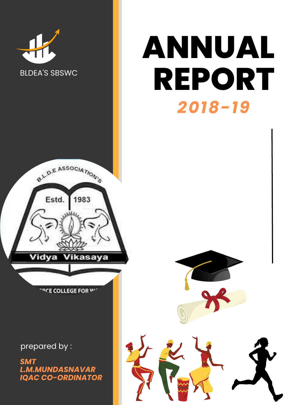

## **ANNUAL REPORT** *2018-19*



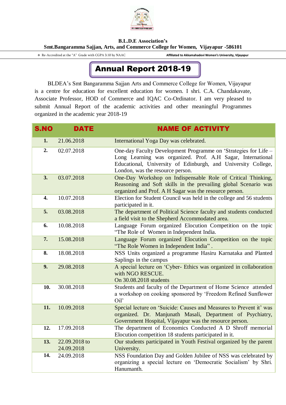

**B.L.D.E Association's Smt.Bangaramma Sajjan, Arts, and Commerce College for Women, Vijayapur -586101**

Re-Accredited at the "A" Grade with CGPA 3.10 by NAAC **Affiliated to Akkamahadevi Women's University, Vijayapur**

## Annual Report 2018-19

 BLDEA's Smt Bangaramma Sajjan Arts and Commerce College for Women, Vijayapur is a centre for education for excellent education for women. I shri. C.A. Chandakavate, Associate Professor, HOD of Commerce and IQAC Co-Ordinator. I am very pleased to submit Annual Report of the academic activities and other meaningful Programmes organized in the academic year 2018-19

| <b>S.NO</b> | <b>DATE</b>                 | <b>NAME OF ACTIVITY</b>                                                                                                                                                                                                             |
|-------------|-----------------------------|-------------------------------------------------------------------------------------------------------------------------------------------------------------------------------------------------------------------------------------|
| 1.          | 21.06.2018                  | International Yoga Day was celebrated.                                                                                                                                                                                              |
| 2.          | 02.07.2018                  | One-day Faculty Development Programme on 'Strategies for Life -<br>Long Learning was organized. Prof. A.H Sagar, International<br>Educational, University of Edinburgh, and University College,<br>London, was the resource person. |
| 3.          | 03.07.2018                  | One-Day Workshop on Indispensable Role of Critical Thinking,<br>Reasoning and Soft skills in the prevailing global Scenario was<br>organized and Prof. A H Sagar was the resource person.                                           |
| 4.          | 10.07.2018                  | Election for Student Council was held in the college and 56 students<br>participated in it.                                                                                                                                         |
| 5.          | 03.08.2018                  | The department of Political Science faculty and students conducted<br>a field visit to the Shepherd Accommodated area.                                                                                                              |
| 6.          | 10.08.2018                  | Language Forum organized Elocution Competition on the topic<br>"The Role of Women in Independent India.                                                                                                                             |
| 7.          | 15.08.2018                  | Language Forum organized Elocution Competition on the topic<br>"The Role Women in Independent India".                                                                                                                               |
| 8.          | 18.08.2018                  | NSS Units organized a programme Hasiru Karnataka and Planted<br>Saplings in the campus                                                                                                                                              |
| 9.          | 29.08.2018                  | A special lecture on 'Cyber- Ethics was organized in collaboration<br>with NGO RESCUE.<br>On 30.08.2018 students                                                                                                                    |
| 10.         | 30.08.2018                  | Students and faculty of the Department of Home Science attended<br>a workshop on cooking sponsored by 'Freedom Refined Sunflower<br>Oil'                                                                                            |
| 11.         | 10.09.2018                  | Special lecture on 'Suicide: Causes and Measures to Prevent it' was<br>organized. Dr. Manjunath Masali, Department of Psychiatry,<br>Government Hospital, Vijayapur was the resource person.                                        |
| 12.         | 17.09.2018                  | The department of Economics Conducted A D Shroff memorial<br>Elocution competition 18 students participated in it.                                                                                                                  |
| 13.         | 22.09.2018 to<br>24.09.2018 | Our students participated in Youth Festival organized by the parent<br>University.                                                                                                                                                  |
| 14.         | 24.09.2018                  | NSS Foundation Day and Golden Jubilee of NSS was celebrated by<br>organizing a special lecture on 'Democratic Socialism' by Shri.<br>Hanumanth.                                                                                     |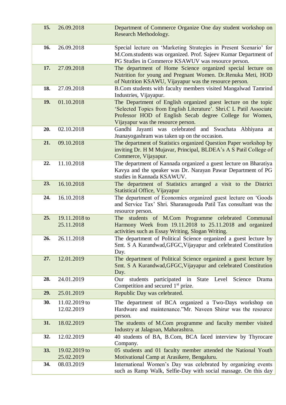| 15. | 26.09.2018                  | Department of Commerce Organize One day student workshop on<br>Research Methodology.                                                                                                                                                    |
|-----|-----------------------------|-----------------------------------------------------------------------------------------------------------------------------------------------------------------------------------------------------------------------------------------|
| 16. | 26.09.2018                  | Special lecture on 'Marketing Strategies in Present Scenario' for<br>M.Com.students was organized. Prof. Sajeev Kumar Department of<br>PG Studies in Commerce KSAWUV was resource person.                                               |
| 17. | 27.09.2018                  | The department of Home Science organized special lecture on<br>Nutrition for young and Pregnant Women. Dr.Renuka Meti, HOD<br>of Nutrition KSAWU, Vijayapur was the resource person.                                                    |
| 18. | 27.09.2018                  | B.Com students with faculty members visited Mangalwad Tamrind<br>Industries, Vijayapur.                                                                                                                                                 |
| 19. | 01.10.2018                  | The Department of English organized guest lecture on the topic<br>'Selected Topics from English Literature'. Shri.C L Patil Associate<br>Professor HOD of English Secab degree College for Women,<br>Vijayapur was the resource person. |
| 20. | 02.10.2018                  | Gandhi Jayanti was celebrated and Swachata Abhiyana at<br>Jnanayogashram was taken up on the occasion.                                                                                                                                  |
| 21. | 09.10.2018                  | The department of Statistics organized Question Paper workshop by<br>inviting Dr. H M Mujavar, Principal, BLDEA's A S Patil College of<br>Commerce, Vijayapur.                                                                          |
| 22. | 11.10.2018                  | The department of Kannada organized a guest lecture on Bharatiya<br>Kavya and the speaker was Dr. Narayan Pawar Department of PG<br>studies in Kannada KSAWUV.                                                                          |
| 23. | 16.10.2018                  | The department of Statistics arranged a visit to the District<br><b>Statistical Office, Vijayapur</b>                                                                                                                                   |
| 24. | 16.10.2018                  | The department of Economics organized guest lecture on 'Goods<br>and Service Tax' Shri. Sharanagouda Patil Tax consultant was the<br>resource person.                                                                                   |
| 25. | 19.11.2018 to<br>25.11.2018 | The students of M.Com Programme celebrated Communal<br>Harmony Week from 19.11.2018 to 25.11.2018 and organized<br>activities such as Essay Writing, Slogan Writing.                                                                    |
| 26. | 26.11.2018                  | The department of Political Science organized a guest lecture by<br>Smt. S A Kurandwad, GFGC, Vijayapur and celebrated Constitution<br>Day.                                                                                             |
| 27. | 12.01.2019                  | The department of Political Science organized a guest lecture by<br>Smt. S A Kurandwad, GFGC, Vijayapur and celebrated Constitution<br>Day.                                                                                             |
| 28. | 24.01.2019                  | participated in<br>Our<br>students<br>State Level Science<br>Drama<br>Competition and secured $1st$ prize.                                                                                                                              |
| 29. | 25.01.2019                  | Republic Day was celebrated.                                                                                                                                                                                                            |
| 30. | 11.02.2019 to<br>12.02.2019 | The department of BCA organized a Two-Days workshop on<br>Hardware and maintenance."Mr. Naveen Shirur was the resource<br>person.                                                                                                       |
| 31. | 18.02.2019                  | The students of M.Com programme and faculty member visited<br>Industry at Jalagoan, Maharashtra.                                                                                                                                        |
| 32. | 12.02.2019                  | 40 students of BA, B.Com, BCA faced interview by Thyrocare<br>Company.                                                                                                                                                                  |
| 33. | 19.02.2019 to<br>25.02.2019 | 05 students and 01 faculty member attended the National Youth<br>Motivational Camp at Arasikere, Bengaluru.                                                                                                                             |
| 34. | 08.03.2019                  | International Women's Day was celebrated by organizing events<br>such as Ramp Walk, Selfie-Day with social massage. On this day                                                                                                         |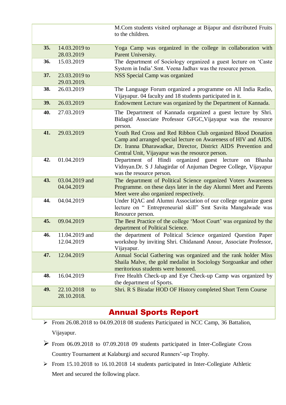|     |                                 | M.Com students visited orphanage at Bijapur and distributed Fruits<br>to the children.                                                                                                                                                                |
|-----|---------------------------------|-------------------------------------------------------------------------------------------------------------------------------------------------------------------------------------------------------------------------------------------------------|
| 35. | 14.03.2019 to<br>28.03.2019     | Yoga Camp was organized in the college in collaboration with<br>Parent University.                                                                                                                                                                    |
| 36. | 15.03.2019                      | The department of Sociology organized a guest lecture on 'Caste<br>System in India'.Smt. Veena Jadhav was the resource person.                                                                                                                        |
| 37. | 23.03.2019 to<br>29.03.2019.    | <b>NSS Special Camp was organized</b>                                                                                                                                                                                                                 |
| 38. | 26.03.2019                      | The Language Forum organized a programme on All India Radio,<br>Vijayapur. 04 faculty and 18 students participated in it.                                                                                                                             |
| 39. | 26.03.2019                      | Endowment Lecture was organized by the Department of Kannada.                                                                                                                                                                                         |
| 40. | 27.03.2019                      | The Department of Kannada organized a guest lecture by Shri.<br>Bidagid Associate Professor GFGC, Vijayapur was the resource<br>person.                                                                                                               |
| 41. | 29.03.2019                      | Youth Red Cross and Red Ribbon Club organized Blood Donation<br>Camp and arranged special lecture on Awareness of HIV and AIDS.<br>Dr. Iranna Dharawadkar, Director, District AIDS Prevention and<br>Central Unit, Vijayapur was the resource person. |
| 42. | 01.04.2019                      | Department of Hindi organized guest lecture on Bhasha<br>Vidnyan.Dr. S J Jahagirdar of Anjuman Degree College, Vijayapur<br>was the resource person.                                                                                                  |
| 43. | 03.04.2019 and<br>04.04.2019    | The department of Political Science organized Voters Awareness<br>Programme. on these days later in the day Alumni Meet and Parents<br>Meet were also organized respectively.                                                                         |
| 44. | 04.04.2019                      | Under IQAC and Alumni Association of our college organize guest<br>lecture on " Entrepreneurial skill" Smt Savita Mangalwade was<br>Resource person.                                                                                                  |
| 45. | 09.04.2019                      | The Best Practice of the college 'Moot Court' was organized by the<br>department of Political Science.                                                                                                                                                |
| 46. | 11.04.2019 and<br>12.04.2019    | the department of Political Science organized Question Paper<br>workshop by inviting Shri. Chidanand Anour, Associate Professor,<br>Vijayapur.                                                                                                        |
| 47. | 12.04.2019                      | Annual Social Gathering was organized and the rank holder Miss<br>Shaila Malve, the gold medalist in Sociology Sorgoankar and other<br>meritorious students were honored.                                                                             |
| 48. | 16.04.2019                      | Free Health Check-up and Eye Check-up Camp was organized by<br>the department of Sports.                                                                                                                                                              |
| 49. | 22.10.2018<br>to<br>28.10.2018. | Shri. R S Biradar HOD OF History completed Short Term Course                                                                                                                                                                                          |

## Annual Sports Report

- From 26.08.2018 to 04.09.2018 08 students Participated in NCC Camp, 36 Battalion, Vijayapur.
- From 06.09.2018 to 07.09.2018 09 students participated in Inter-Collegiate Cross Country Tournament at Kalaburgi and secured Runners'-up Trophy.
- $\triangleright$  From 15.10.2018 to 16.10.2018 14 students participated in Inter-Collegiate Athletic Meet and secured the following place.